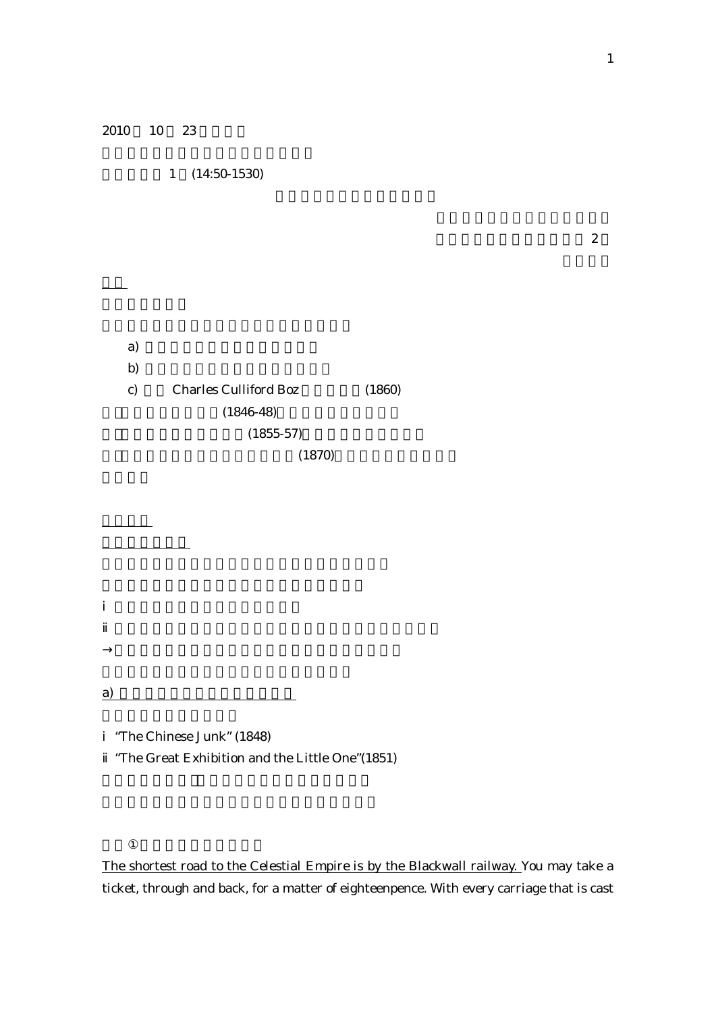2010 10 23

1 (14:50-1530)

2

| a)           |                              |        |
|--------------|------------------------------|--------|
| b)           |                              |        |
| $\mathbf{c}$ | <b>Charles Culliford Boz</b> | (1860) |
|              | $(1846-48)$                  |        |
|              | $(1855-57)$                  |        |
|              | (1870)                       |        |

a)

"The Chinese Junk" (1848) "The Great Exhibition and the Little One"(1851)

The shortest road to the Celestial Empire is by the Blackwall railway. You may take a ticket, through and back, for a matter of eighteenpence. With every carriage that is cast

1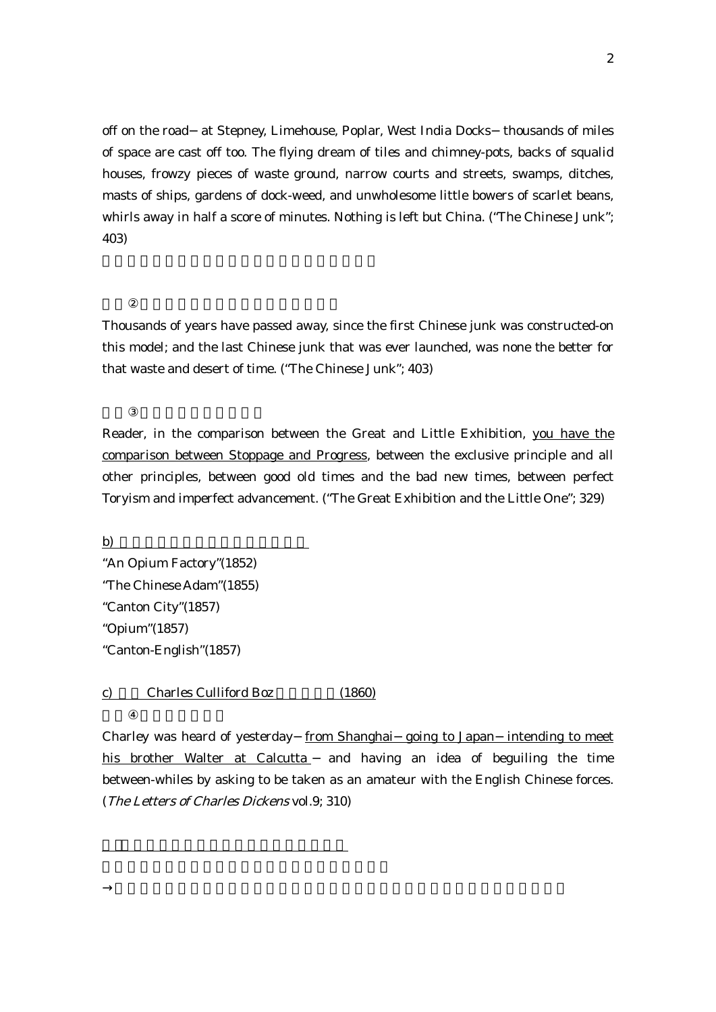off on the road at Stepney, Limehouse, Poplar, West India Docks thousands of miles of space are cast off too. The flying dream of tiles and chimney-pots, backs of squalid houses, frowzy pieces of waste ground, narrow courts and streets, swamps, ditches, masts of ships, gardens of dock-weed, and unwholesome little bowers of scarlet beans, whirls away in half a score of minutes. Nothing is left but China. ("The Chinese Junk"; 403)

Thousands of years have passed away, since the first Chinese junk was constructed-on this model; and the last Chinese junk that was ever launched, was none the better for that waste and desert of time. ("The Chinese Junk"; 403)

Reader, in the comparison between the Great and Little Exhibition, you have the comparison between Stoppage and Progress, between the exclusive principle and all other principles, between good old times and the bad new times, between perfect Toryism and imperfect advancement. ("The Great Exhibition and the Little One"; 329)

b) "An Opium Factory"(1852) "The Chinese Adam"(1855) "Canton City"(1857) "Opium"(1857) "Canton-English"(1857)

c) Charles Culliford Boz (1860)

Charley was heard of yesterday from Shanghai going to Japan intending to meet his brother Walter at Calcutta and having an idea of beguiling the time between-whiles by asking to be taken as an amateur with the English Chinese forces. (The Letters of Charles Dickens vol.9; 310)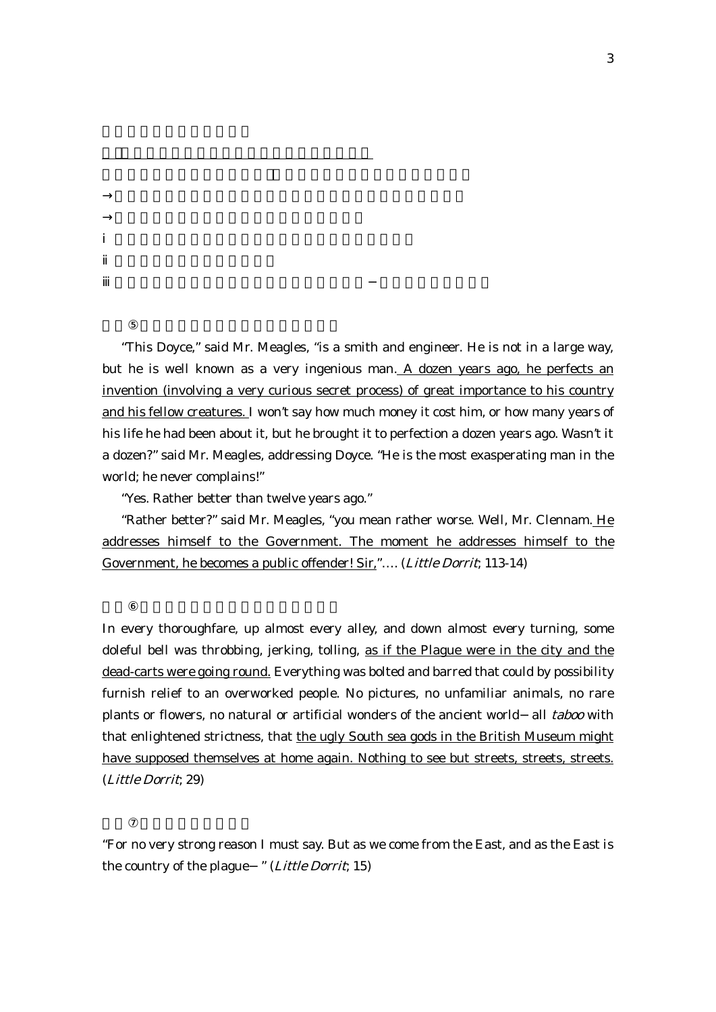"This Doyce," said Mr. Meagles, "is a smith and engineer. He is not in a large way, but he is well known as a very ingenious man. A dozen years ago, he perfects an invention (involving a very curious secret process) of great importance to his country and his fellow creatures. I won't say how much money it cost him, or how many years of his life he had been about it, but he brought it to perfection a dozen years ago. Wasn't it a dozen?" said Mr. Meagles, addressing Doyce. "He is the most exasperating man in the world; he never complains!"

"Yes. Rather better than twelve years ago."

"Rather better?" said Mr. Meagles, "you mean rather worse. Well, Mr. Clennam. He addresses himself to the Government. The moment he addresses himself to the Government, he becomes a public offender! Sir,"…. (Little Dorrit; 113-14)

In every thoroughfare, up almost every alley, and down almost every turning, some doleful bell was throbbing, jerking, tolling, as if the Plague were in the city and the dead-carts were going round. Everything was bolted and barred that could by possibility furnish relief to an overworked people. No pictures, no unfamiliar animals, no rare plants or flowers, no natural or artificial wonders of the ancient world all taboo with that enlightened strictness, that the ugly South sea gods in the British Museum might have supposed themselves at home again. Nothing to see but streets, streets, streets. (Little Dorrit; 29)

"For no very strong reason I must say. But as we come from the East, and as the East is the country of the plague " (Little Dorrit; 15)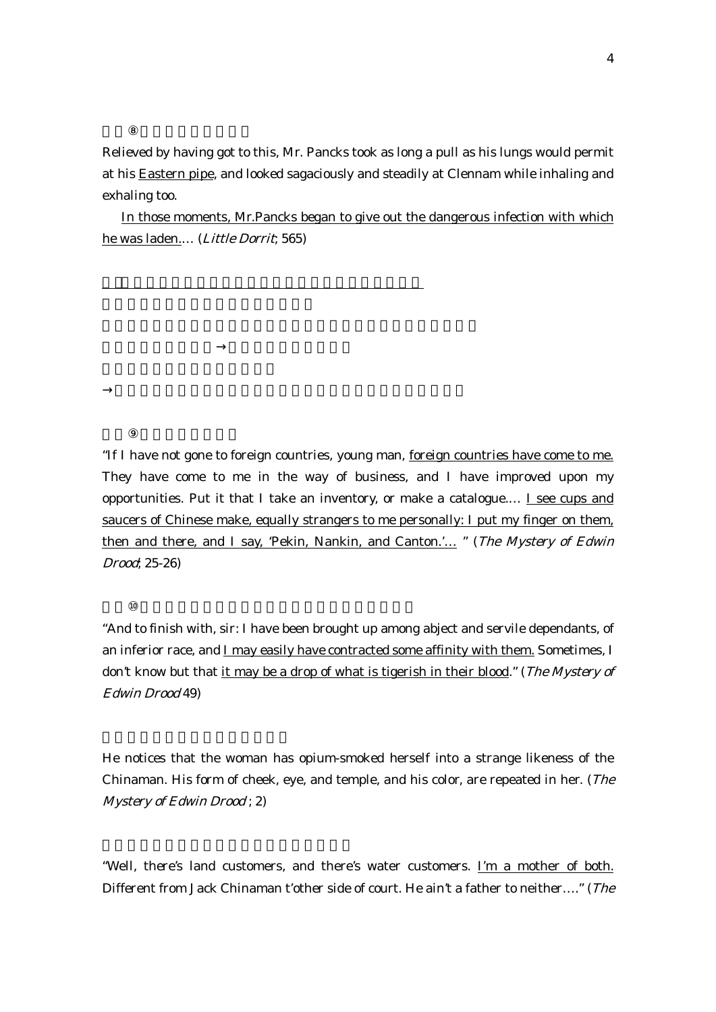Relieved by having got to this, Mr. Pancks took as long a pull as his lungs would permit at his Eastern pipe, and looked sagaciously and steadily at Clennam while inhaling and exhaling too.

In those moments, Mr.Pancks began to give out the dangerous infection with which he was laden.… (Little Dorrit; 565)

"If I have not gone to foreign countries, young man, foreign countries have come to me. They have come to me in the way of business, and I have improved upon my opportunities. Put it that I take an inventory, or make a catalogue.... I see cups and saucers of Chinese make, equally strangers to me personally: I put my finger on them, then and there, and I say, 'Pekin, Nankin, and Canton.'... " (The Mystery of Edwin Drood; 25-26)

"And to finish with, sir: I have been brought up among abject and servile dependants, of an inferior race, and I may easily have contracted some affinity with them. Sometimes, I don't know but that it may be a drop of what is tigerish in their blood." (The Mystery of Edwin Drood 49)

He notices that the woman has opium-smoked herself into a strange likeness of the Chinaman. His form of cheek, eye, and temple, and his color, are repeated in her. (The Mystery of Edwin Drood ; 2)

"Well, there's land customers, and there's water customers. I'm a mother of both. Different from Jack Chinaman t'other side of court. He ain't a father to neither…." (The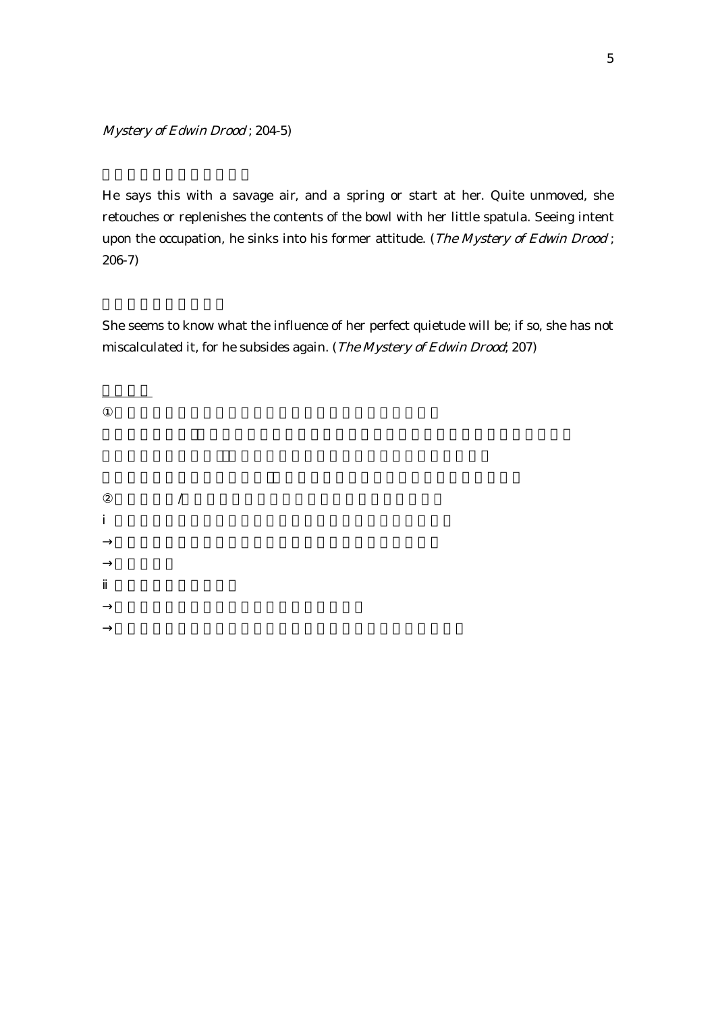Mystery of Edwin Drood ; 204-5)

/

He says this with a savage air, and a spring or start at her. Quite unmoved, she retouches or replenishes the contents of the bowl with her little spatula. Seeing intent upon the occupation, he sinks into his former attitude. (The Mystery of Edwin Drood; 206-7)

She seems to know what the influence of her perfect quietude will be; if so, she has not miscalculated it, for he subsides again. (The Mystery of Edwin Drood; 207)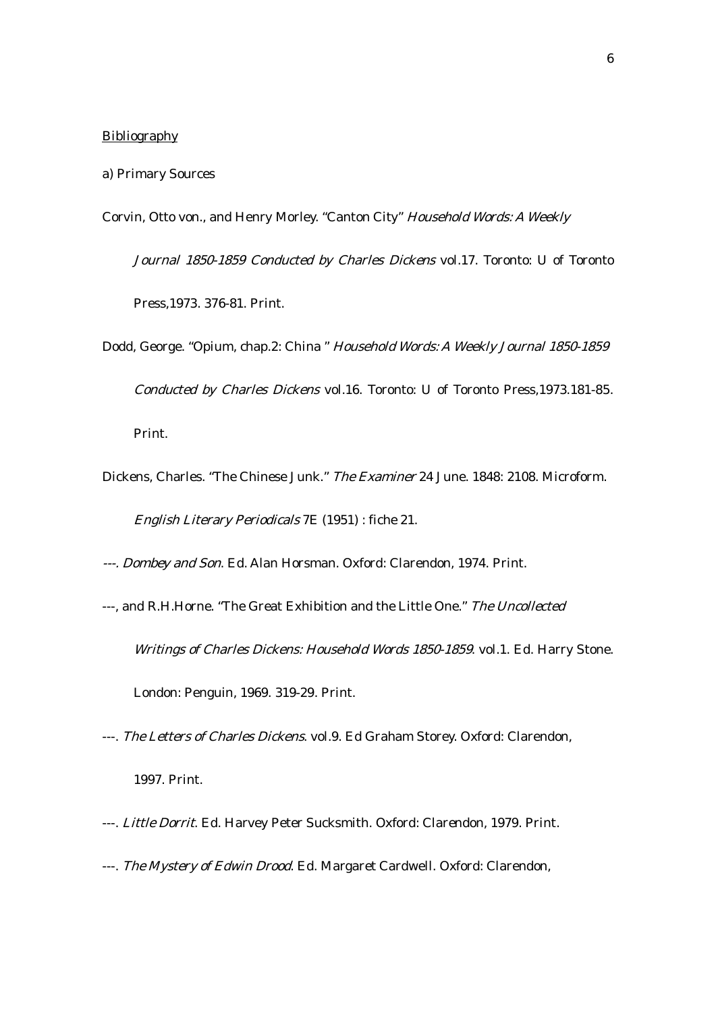## **Bibliography**

- a) Primary Sources
- Corvin, Otto von., and Henry Morley. "Canton City" Household Words: <sup>A</sup> Weekly

Journal 1850-1859 Conducted by Charles Dickens vol.17. Toronto: U of Toronto Press,1973. 376-81. Print.

- Dodd, George. "Opium, chap.2: China " Household Words: <sup>A</sup> Weekly Journal 1850-1859 Conducted by Charles Dickens vol.16. Toronto: U of Toronto Press,1973.181-85. Print.
- Dickens, Charles. "The Chinese Junk." The Examiner 24 June. 1848: 2108. Microform. English Literary Periodicals 7E (1951) : fiche 21.
- ---. Dombey and Son. Ed. Alan Horsman. Oxford: Clarendon, 1974. Print.
- ---, and R.H.Horne. "The Great Exhibition and the Little One." The Uncollected Writings of Charles Dickens: Household Words 1850-1859. vol.1. Ed. Harry Stone. London: Penguin, 1969. 319-29. Print.
- ---. The Letters of Charles Dickens. vol.9. Ed Graham Storey. Oxford: Clarendon, 1997. Print.
- ---. Little Dorrit. Ed. Harvey Peter Sucksmith. Oxford: Clarendon, 1979. Print.
- ---. The Mystery of Edwin Drood. Ed. Margaret Cardwell. Oxford: Clarendon,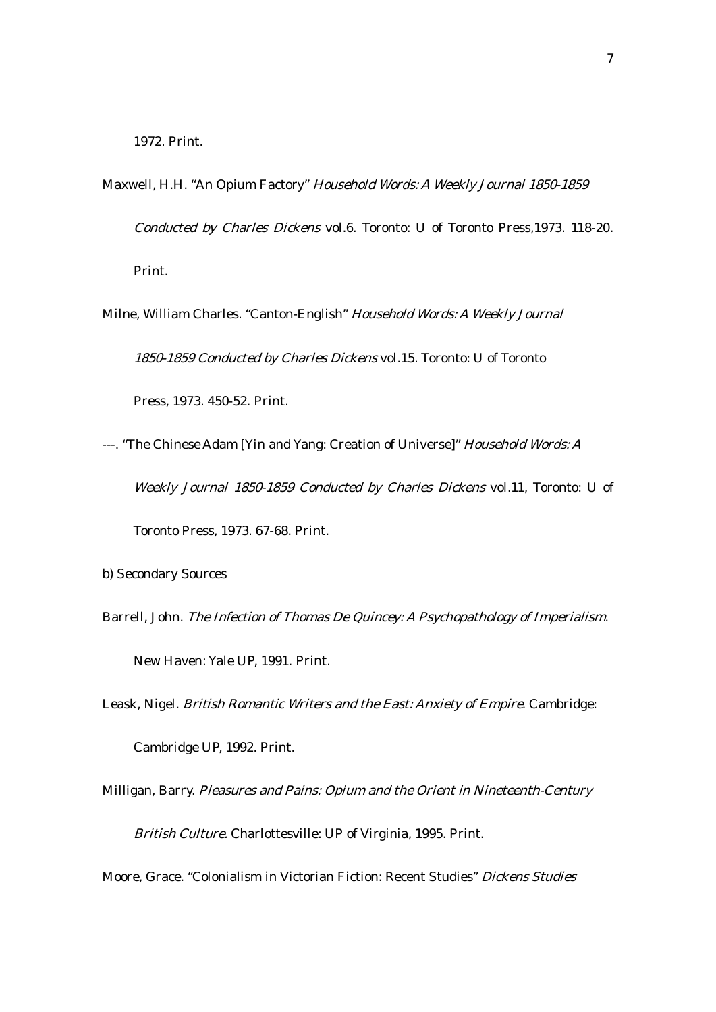- Maxwell, H.H. "An Opium Factory" Household Words: <sup>A</sup> Weekly Journal 1850-1859 Conducted by Charles Dickens vol.6. Toronto: U of Toronto Press,1973. 118-20. Print.
- Milne, William Charles. "Canton-English" Household Words: <sup>A</sup> Weekly Journal 1850-1859 Conducted by Charles Dickens vol.15. Toronto: U of Toronto Press, 1973. 450-52. Print.
- ---. "The Chinese Adam [Yin and Yang: Creation of Universe]" Household Words: A Weekly Journal 1850-1859 Conducted by Charles Dickens vol.11, Toronto: U of Toronto Press, 1973. 67-68. Print.
- b) Secondary Sources
- Barrell, John. The Infection of Thomas De Quincey: <sup>A</sup> Psychopathology of Imperialism. New Haven: Yale UP, 1991. Print.
- Leask, Nigel. British Romantic Writers and the East: Anxiety of Empire. Cambridge:

Cambridge UP, 1992. Print.

Milligan, Barry. Pleasures and Pains: Opium and the Orient in Nineteenth-Century British Culture. Charlottesville: UP of Virginia, 1995. Print.

Moore, Grace. "Colonialism in Victorian Fiction: Recent Studies" Dickens Studies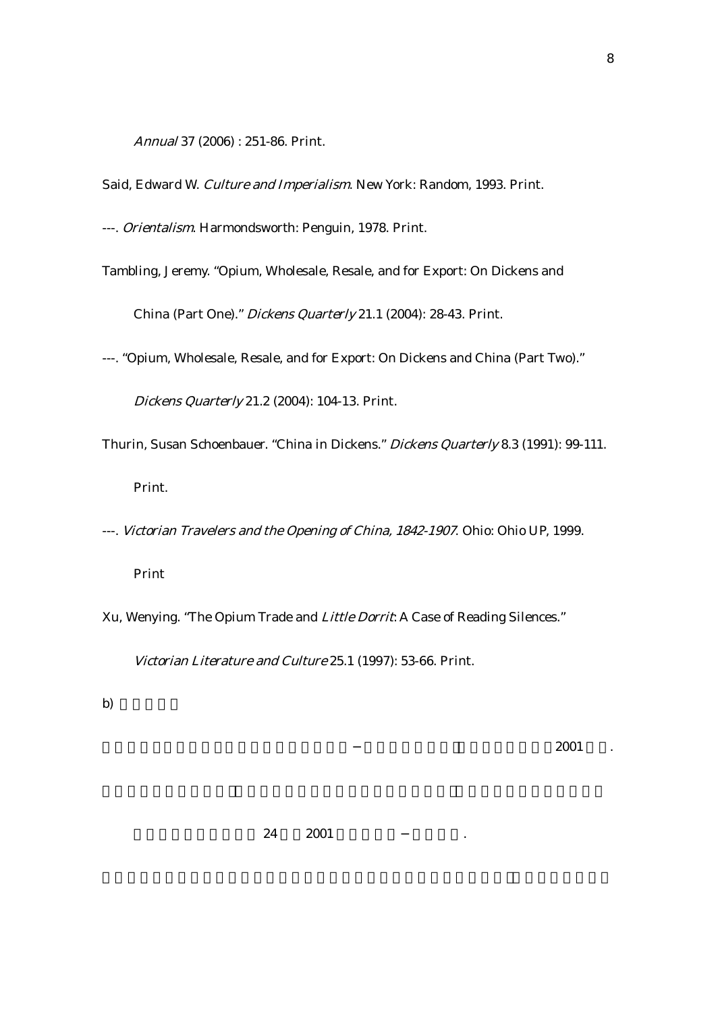Annual 37 (2006) : 251-86. Print.

Said, Edward W. Culture and Imperialism. New York: Random, 1993. Print.

---. Orientalism. Harmondsworth: Penguin, 1978. Print.

- Tambling, Jeremy. "Opium, Wholesale, Resale, and for Export: On Dickens and China (Part One)." Dickens Quarterly 21.1 (2004): 28-43. Print.
- ---. "Opium, Wholesale, Resale, and for Export: On Dickens and China (Part Two)."

Dickens Quarterly 21.2 (2004): 104-13. Print.

- Thurin, Susan Schoenbauer. "China in Dickens." Dickens Quarterly 8.3 (1991): 99-111. Print.
- ---. Victorian Travelers and the Opening of China, 1842-1907. Ohio: Ohio UP, 1999.

Print

Xu, Wenying. "The Opium Trade and Little Dorrit: A Case of Reading Silences."

Victorian Literature and Culture 25.1 (1997): 53-66. Print.

b)

2001 .

24 2001